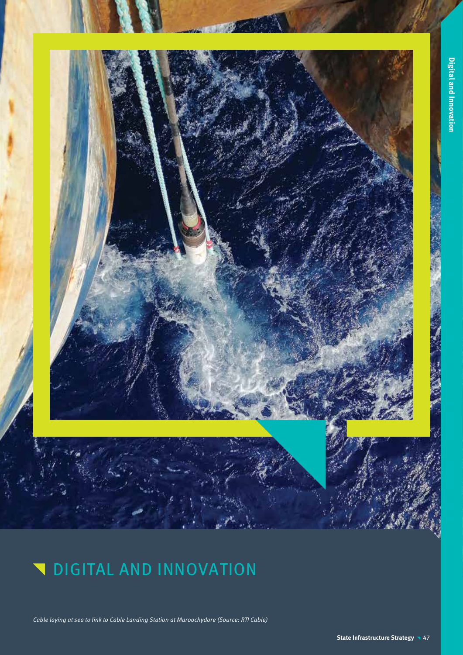

Cable laying at sea to link to Cable Landing Station at Maroochydore (Source: RTI Cable)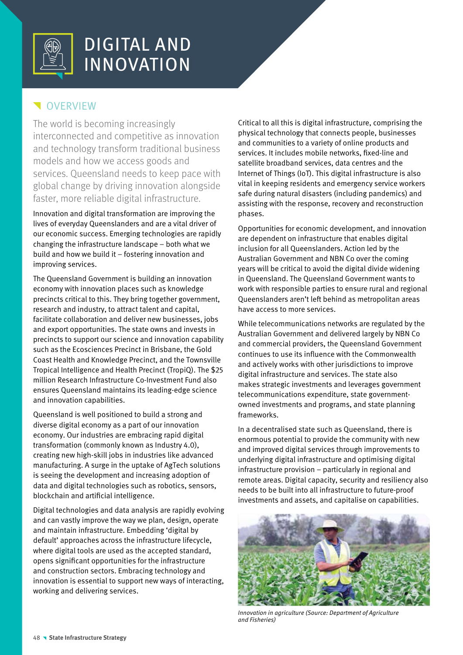

## **VERVIEW**

The world is becoming increasingly interconnected and competitive as innovation and technology transform traditional business models and how we access goods and services. Queensland needs to keep pace with global change by driving innovation alongside faster, more reliable digital infrastructure.

Innovation and digital transformation are improving the lives of everyday Queenslanders and are a vital driver of our economic success. Emerging technologies are rapidly changing the infrastructure landscape – both what we build and how we build it – fostering innovation and improving services.

The Queensland Government is building an innovation economy with innovation places such as knowledge precincts critical to this. They bring together government, research and industry, to attract talent and capital, facilitate collaboration and deliver new businesses, jobs and export opportunities. The state owns and invests in precincts to support our science and innovation capability such as the Ecosciences Precinct in Brisbane, the Gold Coast Health and Knowledge Precinct, and the Townsville Tropical Intelligence and Health Precinct (TropiQ). The \$25 million Research Infrastructure Co-Investment Fund also ensures Queensland maintains its leading-edge science and innovation capabilities.

Queensland is well positioned to build a strong and diverse digital economy as a part of our innovation economy. Our industries are embracing rapid digital transformation (commonly known as Industry 4.0), creating new high-skill jobs in industries like advanced manufacturing. A surge in the uptake of AgTech solutions is seeing the development and increasing adoption of data and digital technologies such as robotics, sensors, blockchain and artificial intelligence.

Digital technologies and data analysis are rapidly evolving and can vastly improve the way we plan, design, operate and maintain infrastructure. Embedding 'digital by default' approaches across the infrastructure lifecycle, where digital tools are used as the accepted standard, opens significant opportunities for the infrastructure and construction sectors. Embracing technology and innovation is essential to support new ways of interacting, working and delivering services.

Critical to all this is digital infrastructure, comprising the physical technology that connects people, businesses and communities to a variety of online products and services. It includes mobile networks, fixed-line and satellite broadband services, data centres and the Internet of Things (IoT). This digital infrastructure is also vital in keeping residents and emergency service workers safe during natural disasters (including pandemics) and assisting with the response, recovery and reconstruction phases.

Opportunities for economic development, and innovation are dependent on infrastructure that enables digital inclusion for all Queenslanders. Action led by the Australian Government and NBN Co over the coming years will be critical to avoid the digital divide widening in Queensland. The Queensland Government wants to work with responsible parties to ensure rural and regional Queenslanders aren't left behind as metropolitan areas have access to more services.

While telecommunications networks are regulated by the Australian Government and delivered largely by NBN Co and commercial providers, the Queensland Government continues to use its influence with the Commonwealth and actively works with other jurisdictions to improve digital infrastructure and services. The state also makes strategic investments and leverages government telecommunications expenditure, state governmentowned investments and programs, and state planning frameworks.

In a decentralised state such as Queensland, there is enormous potential to provide the community with new and improved digital services through improvements to underlying digital infrastructure and optimising digital infrastructure provision – particularly in regional and remote areas. Digital capacity, security and resiliency also needs to be built into all infrastructure to future-proof investments and assets, and capitalise on capabilities.



Innovation in agriculture (Source: Department of Agriculture and Fisheries)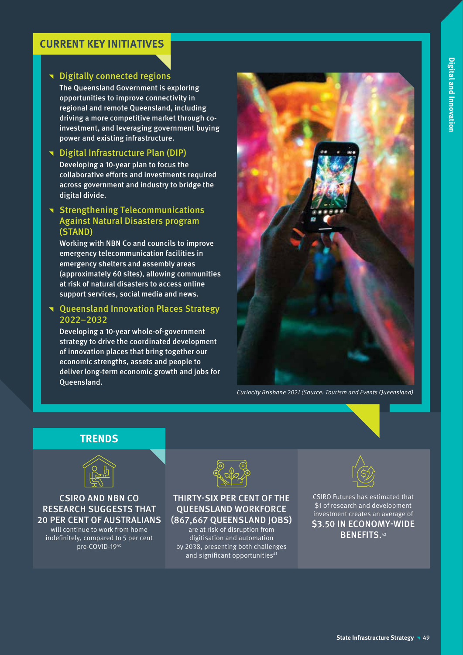## **CURRENT KEY INITIATIVES**

## **T** Digitally connected regions

The Queensland Government is exploring opportunities to improve connectivity in regional and remote Queensland, including driving a more competitive market through coinvestment, and leveraging government buying power and existing infrastructure.

## ^ Digital Infrastructure Plan (DIP)

Developing a 10-year plan to focus the collaborative efforts and investments required across government and industry to bridge the digital divide.

## **T** Strengthening Telecommunications Against Natural Disasters program (STAND)

Working with NBN Co and councils to improve emergency telecommunication facilities in emergency shelters and assembly areas (approximately 60 sites), allowing communities at risk of natural disasters to access online support services, social media and news.

## **T** Queensland Innovation Places Strategy 2022–2032

Developing a 10-year whole-of-government strategy to drive the coordinated development of innovation places that bring together our economic strengths, assets and people to deliver long-term economic growth and jobs for Queensland.



Curiocity Brisbane 2021 (Source: Tourism and Events Queensland)

## **TRENDS**



## CSIRO AND NBN CO RESEARCH SUGGESTS THAT 20 PER CENT OF AUSTRALIANS

will continue to work from home indefinitely, compared to 5 per cent pre-COVID-1940



### THIRTY-SIX PER CENT OF THE QUEENSLAND WORKFORCE (867,667 QUEENSLAND JOBS)

are at risk of disruption from digitisation and automation by 2038, presenting both challenges and significant opportunities<sup>41</sup>



CSIRO Futures has estimated that \$1 of research and development investment creates an average of \$3.50 IN ECONOMY-WIDE BENEFITS.<sup>42</sup>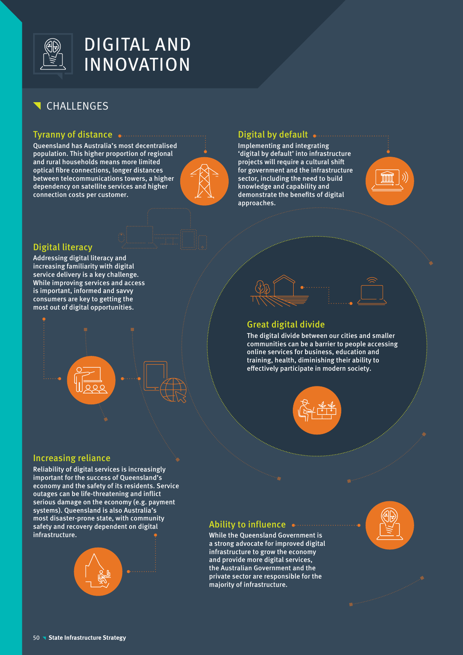

# CHALLENGES

### Tyranny of distance

Queensland has Australia's most decentralised population. This higher proportion of regional and rural households means more limited optical fibre connections, longer distances between telecommunications towers, a higher dependency on satellite services and higher connection costs per customer.



## Digital by default .......

Implementing and integrating 'digital by default' into infrastructure projects will require a cultural shift for government and the infrastructure sector, including the need to build knowledge and capability and demonstrate the benefits of digital approaches.



## Digital literacy

Addressing digital literacy and increasing familiarity with digital service delivery is a key challenge. While improving services and access is important, informed and savvy consumers are key to getting the most out of digital opportunities.





## Great digital divide

The digital divide between our cities and smaller communities can be a barrier to people accessing online services for business, education and training, health, diminishing their ability to effectively participate in modern society.



### Increasing reliance

Reliability of digital services is increasingly important for the success of Queensland's economy and the safety of its residents. Service outages can be life-threatening and inflict serious damage on the economy (e.g. payment systems). Queensland is also Australia's most disaster-prone state, with community safety and recovery dependent on digital infrastructure.



## Ability to influence .......

While the Queensland Government is a strong advocate for improved digital infrastructure to grow the economy and provide more digital services, the Australian Government and the private sector are responsible for the majority of infrastructure.

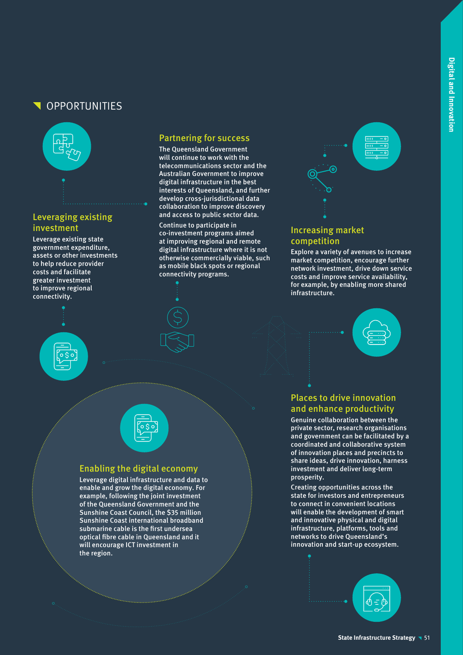## OPPORTUNITIES



## Leveraging existing investment

Leverage existing state government expenditure, assets or other investments to help reduce provider costs and facilitate greater investment to improve regional connectivity.



### Partnering for success

The Queensland Government will continue to work with the telecommunications sector and the Australian Government to improve digital infrastructure in the best interests of Queensland, and further develop cross-jurisdictional data collaboration to improve discovery and access to public sector data.

Continue to participate in co-investment programs aimed at improving regional and remote digital infrastructure where it is not otherwise commercially viable, such as mobile black spots or regional connectivity programs.





## Increasing market competition

Explore a variety of avenues to increase market competition, encourage further network investment, drive down service costs and improve service availability, for example, by enabling more shared infrastructure.





## Enabling the digital economy

Leverage digital infrastructure and data to enable and grow the digital economy. For example, following the joint investment of the Queensland Government and the Sunshine Coast Council, the \$35 million Sunshine Coast international broadband submarine cable is the first undersea optical fibre cable in Queensland and it will encourage ICT investment in the region.

## Places to drive innovation and enhance productivity

Genuine collaboration between the private sector, research organisations and government can be facilitated by a coordinated and collaborative system of innovation places and precincts to share ideas, drive innovation, harness investment and deliver long-term prosperity.

Creating opportunities across the state for investors and entrepreneurs to connect in convenient locations will enable the development of smart and innovative physical and digital infrastructure, platforms, tools and networks to drive Queensland's innovation and start-up ecosystem.

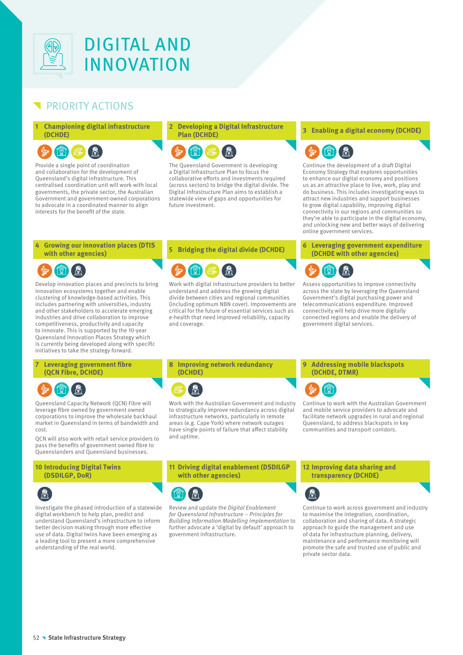

## PRIORITY ACTIONS

### **1 Championing digital infrastructure (DCHDE)**

### $\circledR$  $\mathbb{R}$

Provide a single point of coordination and collaboration for the development of Queensland's digital infrastructure. This centralised coordination unit will work with local governments, the private sector, the Australian Government and government-owned corporations to advocate in a coordinated manner to align interests for the benefit of the state.

**4 Growing our innovation places (DTIS** 

Develop innovation places and precincts to bring innovation ecosystems together and enable clustering of knowledge-based activities. This includes partnering with universities, industry and other stakeholders to accelerate emerging industries and drive collaboration to improve competitiveness, productivity and capacity to innovate. This is supported by the 10-year Queensland Innovation Places Strategy which is currently being developed along with specific initiatives to take the strategy forward.

# **2 Developing a Digital Infrastructure**



The Queensland Government is developing a Digital Infrastructure Plan to focus the collaborative efforts and investments required (across sectors) to bridge the digital divide. The Digital Infrastructure Plan aims to establish a statewide view of gaps and opportunities for future investment.



Work with digital infrastructure providers to better understand and address the growing digital divide between cities and regional communities (including optimum NBN cover). Improvements are critical for the future of essential services such as e-health that need improved reliability, capacity and coverage.

### **Plan (DCHDE) <sup>3</sup> Enabling a digital economy (DCHDE)**



Continue the development of a draft Digital Economy Strategy that explores opportunities to enhance our digital economy and positions us as an attractive place to live, work, play and do business. This includes investigating ways to attract new industries and support businesses to grow digital capability, improving digital connectivity in our regions and communities so they're able to participate in the digital economy, and unlocking new and better ways of delivering online government services.

#### **with other agencies) <sup>5</sup> Bridging the digital divide (DCHDE) <sup>6</sup> Leveraging government expenditure (DCHDE with other agencies)**



Assess opportunities to improve connectivity across the state by leveraging the Queensland Government's digital purchasing power and telecommunications expenditure. Improved connectivity will help drive more digitally connected regions and enable the delivery of government digital services.

#### **7 Leveraging government fibre (QCN Fibre, DCHDE)**



Queensland Capacity Network (QCN) Fibre will leverage fibre owned by government owned corporations to improve the wholesale backhaul market in Queensland in terms of bandwidth and cost.

QCN will also work with retail service providers to pass the benefits of government owned fibre to Queenslanders and Queensland businesses.

#### **10 Introducing Digital Twins (DSDILGP, DoR)**



Investigate the phased introduction of a statewide digital workbench to help plan, predict and understand Queensland's infrastructure to inform better decision making through more effective use of data. Digital twins have been emerging as a leading tool to present a more comprehensive understanding of the real world.

### **8 Improving network redundancy (DCHDE)**



Work with the Australian Government and industry to strategically improve redundancy across digital infrastructure networks, particularly in remote areas (e.g. Cape York) where network outages have single points of failure that affect stability and uptime.

### **9 Addressing mobile blackspots (DCHDE, DTMR)**



Continue to work with the Australian Government and mobile service providers to advocate and facilitate network upgrades in rural and regional Queensland, to address blackspots in key communities and transport corridors.

### **11 Driving digital enablement (DSDILGP with other agencies)**



Review and update the Digital Enablement for Queensland Infrastructure – Principles for Building Information Modelling Implementation to further advocate a 'digital by default' approach to government infrastructure.

#### **12 Improving data sharing and transparency (DCHDE)**



Continue to work across government and industry to maximise the integration, coordination, collaboration and sharing of data. A strategic approach to guide the management and use of data for infrastructure planning, delivery, maintenance and performance monitoring will promote the safe and trusted use of public and private sector data.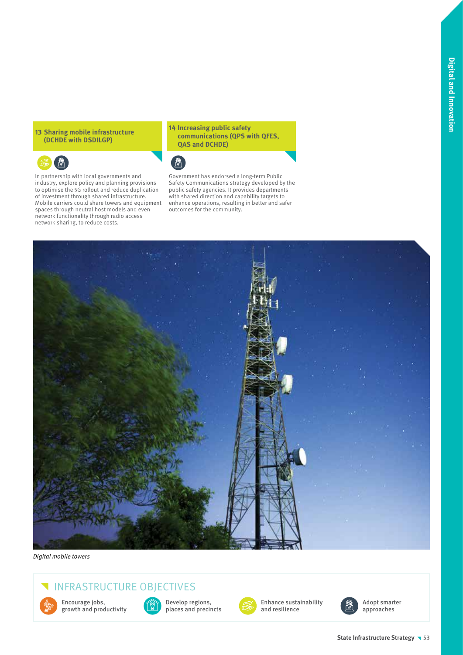### **13 Sharing mobile infrastructure (DCHDE with DSDILGP)**



In partnership with local governments and industry, explore policy and planning provisions to optimise the 5G rollout and reduce duplication of investment through shared infrastructure. Mobile carriers could share towers and equipment spaces through neutral host models and even network functionality through radio access network sharing, to reduce costs.

### **14 Increasing public safety communications (QPS with QFES, QAS and DCHDE)**



Government has endorsed a long-term Public Safety Communications strategy developed by the public safety agencies. It provides departments with shared direction and capability targets to enhance operations, resulting in better and safer outcomes for the community.



Digital mobile towers

# INFRASTRUCTURE OBJECTIVES



Encourage jobs, growth and productivity



Develop regions, places and precincts



Enhance sustainability and resilience



Adopt smarter approaches